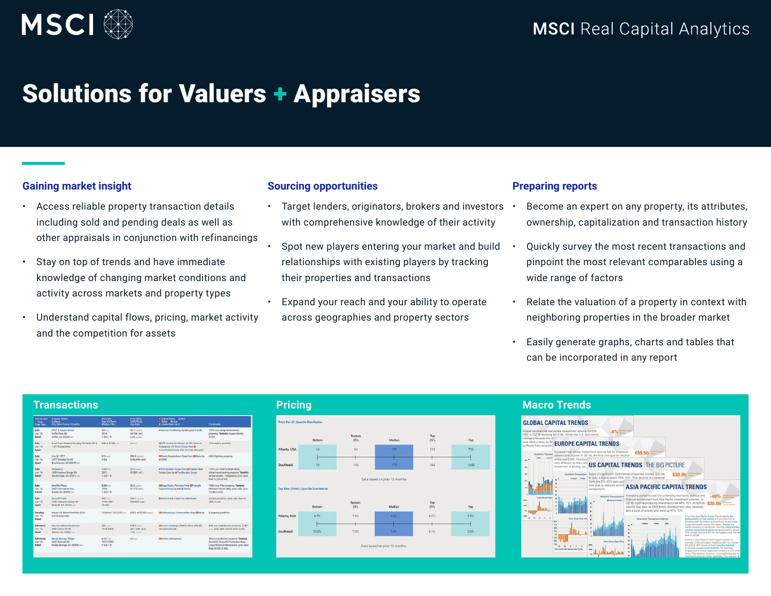

# Solutions for Valuers + Appraisers

#### **Gaining market insight**

- Access reliable property transaction details including sold and pending deals as well as other appraisals in conjunction with refinancings
- Stay on top of trends and have immediate knowledge of changing market conditions and activity across markets and property types
- Understand capital flows, pricing, market activity and the competition for assets

#### **Sourcing opportunities**

- Target lenders, originators, brokers and investors with comprehensive knowledge of their activity
- Spot new players entering your market and build relationships with existing players by tracking their properties and transactions
- Expand your reach and your ability to operate across geographies and property sectors

#### **Preparing reports**

- Become an expert on any property, its attributes, ownership, capitalization and transaction history
- Quickly survey the most recent transactions and pinpoint the most relevant comparables using a wide range of factors
- Relate the valuation of a property in context with neighboring properties in the broader market
- Easily generate graphs, charts and tables that can be incorporated in any report

| Transaction<br>* Date<br>Prop Type  | <b>Property Name</b><br>Address<br>City, State Postal /Country          | M2/Linits<br><b>Year Bit/Reno</b><br>#Bldgs /Film | Price (Sm)<br><b>MAZ/Units</b><br><b>Cap Rate</b> | a Owner/Buyer Broker<br><b>B</b> Soller # Broker<br>\$ Lender(loan amt)                                                  | Comments                                                                                                                                   |
|-------------------------------------|-------------------------------------------------------------------------|---------------------------------------------------|---------------------------------------------------|--------------------------------------------------------------------------------------------------------------------------|--------------------------------------------------------------------------------------------------------------------------------------------|
| Sale<br>Jun '16<br>Retail           | AT&T & Aspen Dental<br>Griffin Park Rd<br>Griffin, GA 30223 uss.        | $563 - 2$<br>2016<br>1 bld/1 flr                  | \$2.7 control<br>\$4,706 /m2<br>6.5% rainted      | ** Marcus & Millichap by ** Capital Pacific                                                                              | 100% oor. Strip/unanchored<br>property: Tenants: Aspen Dental,<br>AT&T:                                                                    |
| Sale<br>Jun 76<br>Apart             | InvenTrust Student Housing Portfolio 2016<br>1 of 18 properties         | 268 of 3.788 units                                | n/a cor                                           | EICPP Investment Board JV GIC (Govt of<br>Singapore) JV Scion Group from El<br>InvenTrustitFannie Mae \$74 mil allocated | 18 property portfolio.                                                                                                                     |
| Sale<br>Jun '16<br>Apart            | Live @ 1377<br>1377 Dreaden Dr NF<br>Reackhaven, GA 30319 USA           | $215$ units<br>4.6n <sub>5</sub>                  | \$50.9 contest<br>\$236,908 /unit                 | EMivero Acquisitions Corp from Ell-lines by<br><b>HA CRRE</b>                                                            | Mid/Highrise property:                                                                                                                     |
| Sale<br>Jun '16<br>Retail           | Walgreens<br>1955 Hudson Bridge Rd<br>Stockbridge, GA 30281 USA         | $3.405 - 2$<br>2001<br>1 bld/1 fir                | \$5.0 annual<br>\$3,550 /m2                       | ++ The Boulder Group from ElCharbel Real<br>Estate Corp by #The Boulder Group                                            | 100% cos Mall & Other/drug<br>store/freestanding property: Tenants:<br>single tenant -- Walgreens: prior sale:<br>Mar-12 (\$4.3 mill:      |
| Sale<br>Jun '16<br>Indust           | <b>Ratellite Place</b><br>2435 Commerce Ave.<br>Duluth, GA 30096 USA    | $5.286 - 2$<br>1000<br>1 bld/1 fir                | $24.2$ arms<br>\$1.172/m2                         | <b>EStage Equity Partners from ESTriangle</b><br>Capital Group by ++Bull Realty                                          | 100% ooo. Flex property: Tenants:<br>National Vision (HQ); prior sale: Jan-<br>16 (\$4.4 mil):                                             |
| Sale<br>$Jun$ 16<br><b>Apart</b>    | <b>Roswell Creek</b><br>1000 Holcomb Bridge Rd<br>Roswell, GA 30076 USA | 498 min.<br>1076/1981<br>53 blds                  | \$42.1 content<br>\$84,538 / unit                 | <b>El Solon Mack Capital by ++Rerkadia</b>                                                                               | Garden property: prior pale: Sep-12<br>$(522.4 \text{ m/h})$                                                                               |
| Pending<br><b>Jun '16</b><br>Retail | Hines U.S. Retail Portfolio 2016<br>2 of 8 properties                   | 15.954 of 1.012.207 = 0                           | \$29.0 of \$210.0 about                           | EPreferred Apt Communities from EDines                                                                                   | <b>B</b> property portfolio.                                                                                                               |
| Refinance<br>$Jum$ 16<br>Hotel      | Maniett Atlanta Buckhead<br>3405 Lenox Rd NF<br>Atlanta, GA, 20226 uts. | $369 - m$<br>1975/2008                            | $$78.0$ areas<br>\$211,382 / unit<br>7.5% ununta  | EMarkum HoldingStJPMCC 2016-JP2 \$51<br>mil anorgaimate                                                                  | 80% occ.,Full-Gervice property, 2,787<br>untic prior sale: Oct-06 (\$44.0 mil);                                                            |
| Refinance<br>AP rul.<br>Retail      | Sandy Sorings Village<br>6650 Roowell Rd<br>Sandy Springs, GA 30328 USA | $4.181 - 2$<br>1077/1000<br>1 MAZ1 Br             | fi/& cott                                         | <b>EX</b> dimma Enterprises                                                                                              | Strip/unanchored property; Tenants:<br>Goodwill, CrossFit Perimeter, Huey<br>Luevo Mexican Restaurant: prior sale:<br>May 02 (\$5.6 mill): |



# **Transactions Pricing Macro Trends**